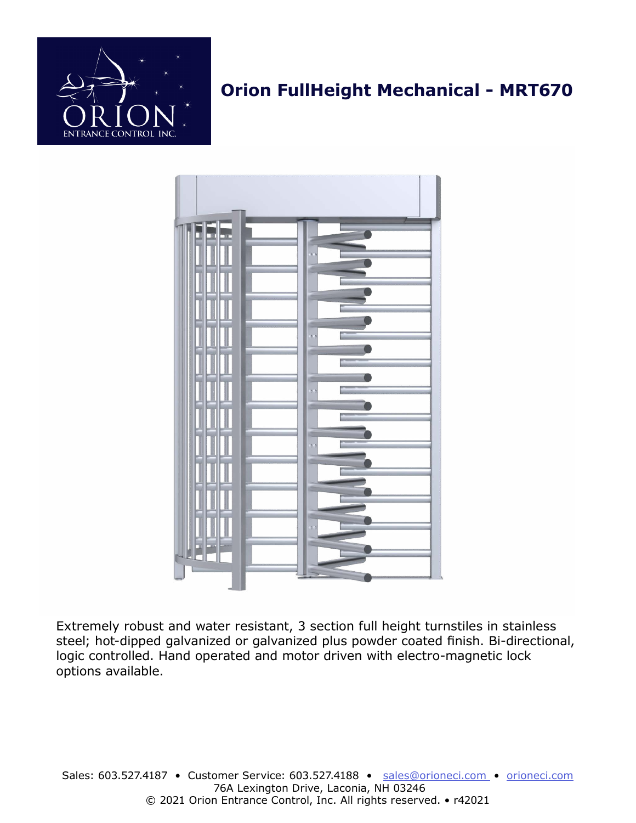

# **Orion FullHeight Mechanical - MRT670**



Extremely robust and water resistant, 3 section full height turnstiles in stainless steel; hot-dipped galvanized or galvanized plus powder coated finish. Bi-directional, logic controlled. Hand operated and motor driven with electro-magnetic lock options available.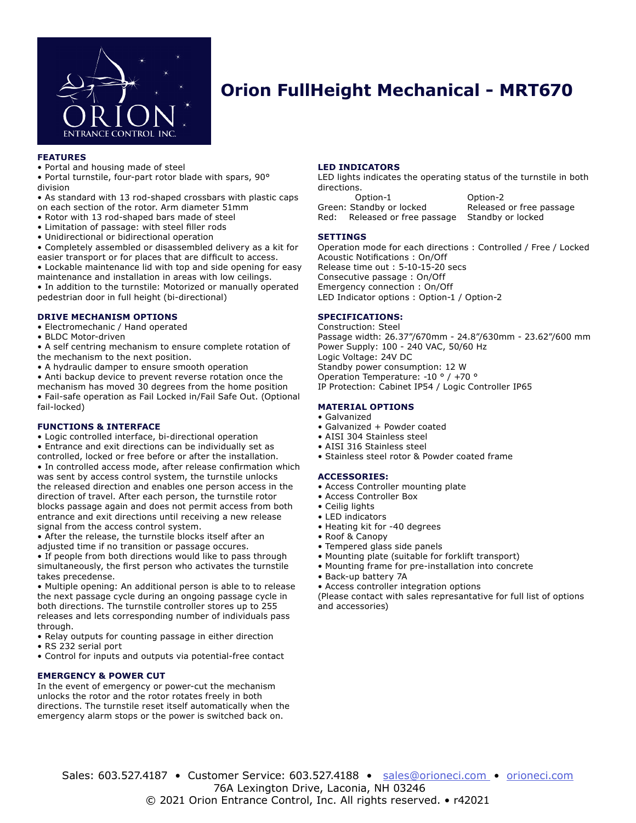

### **Orion FullHeight Mechanical - MRT670**

#### **FEATURES**

• Portal and housing made of steel

• Portal turnstile, four-part rotor blade with spars, 90° division

• As standard with 13 rod-shaped crossbars with plastic caps on each section of the rotor. Arm diameter 51mm

- Rotor with 13 rod-shaped bars made of steel
- Limitation of passage: with steel filler rods
- Unidirectional or bidirectional operation

• Completely assembled or disassembled delivery as a kit for easier transport or for places that are difficult to access.

• Lockable maintenance lid with top and side opening for easy maintenance and installation in areas with low ceilings. • In addition to the turnstile: Motorized or manually operated pedestrian door in full height (bi-directional)

#### **DRIVE MECHANISM OPTIONS**

• Electromechanic / Hand operated

- BLDC Motor-driven
- A self centring mechanism to ensure complete rotation of the mechanism to the next position.
- A hydraulic damper to ensure smooth operation

• Anti backup device to prevent reverse rotation once the mechanism has moved 30 degrees from the home position • Fail-safe operation as Fail Locked in/Fail Safe Out. (Optional fail-locked)

#### **FUNCTIONS & INTERFACE**

• Logic controlled interface, bi-directional operation • Entrance and exit directions can be individually set as controlled, locked or free before or after the installation. • In controlled access mode, after release confirmation which was sent by access control system, the turnstile unlocks the released direction and enables one person access in the direction of travel. After each person, the turnstile rotor blocks passage again and does not permit access from both entrance and exit directions until receiving a new release signal from the access control system.

• After the release, the turnstile blocks itself after an adjusted time if no transition or passage occures.

• If people from both directions would like to pass through simultaneously, the first person who activates the turnstile takes precedense.

• Multiple opening: An additional person is able to to release the next passage cycle during an ongoing passage cycle in both directions. The turnstile controller stores up to 255 releases and lets corresponding number of individuals pass through.

• Relay outputs for counting passage in either direction

• RS 232 serial port

• Control for inputs and outputs via potential-free contact

#### **EMERGENCY & POWER CUT**

In the event of emergency or power-cut the mechanism unlocks the rotor and the rotor rotates freely in both directions. The turnstile reset itself automatically when the emergency alarm stops or the power is switched back on.

#### **LED INDICATORS**

LED lights indicates the operating status of the turnstile in both directions.

Option-1 Option-2 Green: Standby or locked Released or free passage<br>Red: Released or free passage Standby or locked Red: Released or free passage

#### **SETTINGS**

Operation mode for each directions : Controlled / Free / Locked Acoustic Notifications : On/Off Release time out : 5-10-15-20 secs Consecutive passage : On/Off Emergency connection : On/Off LED Indicator options : Option-1 / Option-2

#### **SPECIFICATIONS:**

Construction: Steel Passage width: 26.37"/670mm - 24.8"/630mm - 23.62"/600 mm Power Supply: 100 - 240 VAC, 50/60 Hz Logic Voltage: 24V DC Standby power consumption: 12 W Operation Temperature: -10 ° / +70 ° IP Protection: Cabinet IP54 / Logic Controller IP65

### **MATERIAL OPTIONS**

- Galvanized
- Galvanized + Powder coated
- AISI 304 Stainless steel
- AISI 316 Stainless steel
- Stainless steel rotor & Powder coated frame

#### **ACCESSORIES:**

- Access Controller mounting plate
- Access Controller Box
- Ceilig lights
- LED indicators
- Heating kit for -40 degrees
- Roof & Canopy
- Tempered glass side panels
- Mounting plate (suitable for forklift transport)
- Mounting frame for pre-installation into concrete
- Back-up battery 7A
- Access controller integration options

(Please contact with sales represantative for full list of options and accessories)

Sales: 603.527.4187 • Customer Service: 603.527.4188 • sales@orioneci.com • [orioneci.com](http://orioneci.com) 76A Lexington Drive, Laconia, NH 03246 © 2021 Orion Entrance Control, Inc. All rights reserved. • r42021